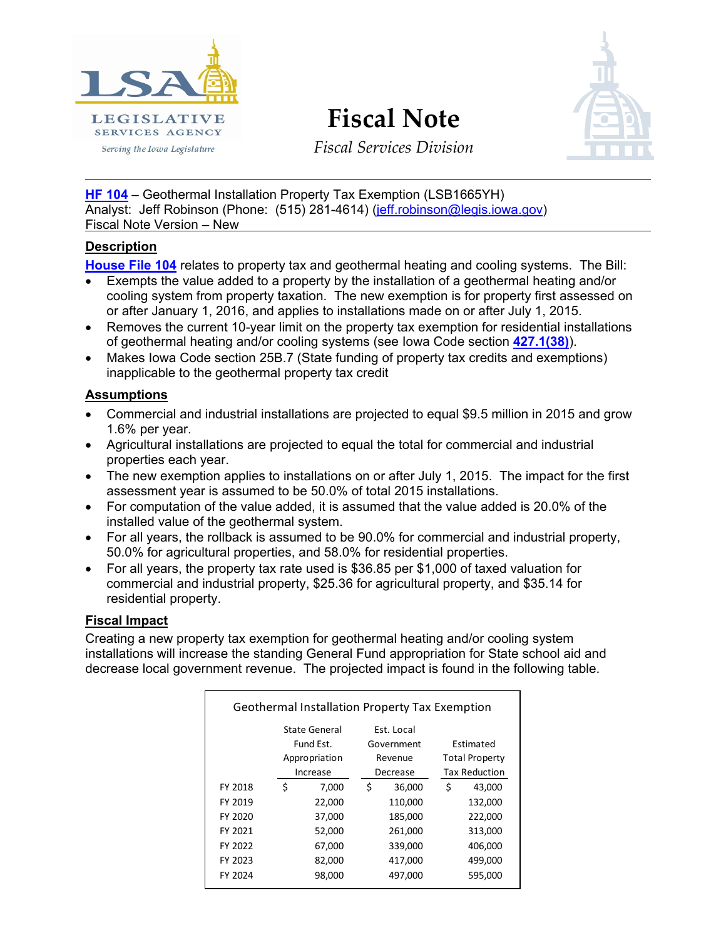

# **Fiscal Note**



*Fiscal Services Division*

**[HF 104](http://coolice.legis.iowa.gov/Cool-ICE/default.asp?Category=billinfo&Service=Billbook&menu=false&hbill=hf104)** – Geothermal Installation Property Tax Exemption (LSB1665YH) Analyst: Jeff Robinson (Phone: (515) 281-4614) [\(jeff.robinson@legis.iowa.gov\)](mailto:jeff.robinson@legis.iowa.gov) Fiscal Note Version – New

### **Description**

**[House File 104](http://coolice.legis.iowa.gov/Cool-ICE/default.asp?Category=billinfo&Service=Billbook&menu=false&hbill=hf104)** relates to property tax and geothermal heating and cooling systems. The Bill:

- Exempts the value added to a property by the installation of a geothermal heating and/or cooling system from property taxation. The new exemption is for property first assessed on or after January 1, 2016, and applies to installations made on or after July 1, 2015.
- Removes the current 10-year limit on the property tax exemption for residential installations of geothermal heating and/or cooling systems (see Iowa Code section **[427.1\(38\)](https://www.legis.iowa.gov/docs/code/427.1.pdf)**).
- Makes Iowa Code section 25B.7 (State funding of property tax credits and exemptions) inapplicable to the geothermal property tax credit

### **Assumptions**

- Commercial and industrial installations are projected to equal \$9.5 million in 2015 and grow 1.6% per year.
- Agricultural installations are projected to equal the total for commercial and industrial properties each year.
- The new exemption applies to installations on or after July 1, 2015. The impact for the first assessment year is assumed to be 50.0% of total 2015 installations.
- For computation of the value added, it is assumed that the value added is 20.0% of the installed value of the geothermal system.
- For all years, the rollback is assumed to be 90.0% for commercial and industrial property, 50.0% for agricultural properties, and 58.0% for residential properties.
- For all years, the property tax rate used is \$36.85 per \$1,000 of taxed valuation for commercial and industrial property, \$25.36 for agricultural property, and \$35.14 for residential property.

## **Fiscal Impact**

Creating a new property tax exemption for geothermal heating and/or cooling system installations will increase the standing General Fund appropriation for State school aid and decrease local government revenue. The projected impact is found in the following table.

| <b>Geothermal Installation Property Tax Exemption</b> |               |               |   |            |   |                       |  |
|-------------------------------------------------------|---------------|---------------|---|------------|---|-----------------------|--|
|                                                       |               | State General |   | Est. Local |   |                       |  |
|                                                       | Fund Est.     |               |   | Government |   | <b>Fstimated</b>      |  |
|                                                       | Appropriation |               |   | Revenue    |   | <b>Total Property</b> |  |
|                                                       |               | Increase      |   | Decrease   |   | Tax Reduction         |  |
| FY 2018                                               | \$            | 7,000         | Ś | 36,000     | Ś | 43,000                |  |
| FY 2019                                               |               | 22,000        |   | 110,000    |   | 132,000               |  |
| FY 2020                                               |               | 37,000        |   | 185,000    |   | 222,000               |  |
| FY 2021                                               |               | 52,000        |   | 261,000    |   | 313,000               |  |
| FY 2022                                               |               | 67,000        |   | 339,000    |   | 406,000               |  |
| FY 2023                                               |               | 82,000        |   | 417,000    |   | 499,000               |  |
| FY 2024                                               |               | 98,000        |   | 497,000    |   | 595,000               |  |